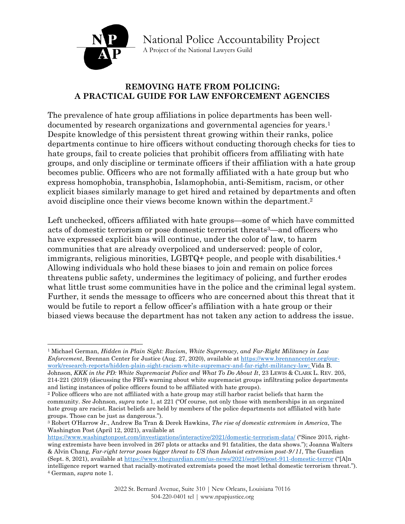

National Police Accountability Project A Project of the National Lawyers Guild

#### **REMOVING HATE FROM POLICING: A PRACTICAL GUIDE FOR LAW ENFORCEMENT AGENCIES**

The prevalence of hate group affiliations in police departments has been welldocumented by research organizations and governmental agencies for years.<sup>1</sup> Despite knowledge of this persistent threat growing within their ranks, police departments continue to hire officers without conducting thorough checks for ties to hate groups, fail to create policies that prohibit officers from affiliating with hate groups, and only discipline or terminate officers if their affiliation with a hate group becomes public. Officers who are not formally affiliated with a hate group but who express homophobia, transphobia, Islamophobia, anti-Semitism, racism, or other explicit biases similarly manage to get hired and retained by departments and often avoid discipline once their views become known within the department. 2

Left unchecked, officers affiliated with hate groups—some of which have committed acts of domestic terrorism or pose domestic terrorist threats3—and officers who have expressed explicit bias will continue, under the color of law, to harm communities that are already overpoliced and underserved: people of color, immigrants, religious minorities, LGBTQ+ people, and people with disabilities. 4 Allowing individuals who hold these biases to join and remain on police forces threatens public safety, undermines the legitimacy of policing, and further erodes what little trust some communities have in the police and the criminal legal system. Further, it sends the message to officers who are concerned about this threat that it would be futile to report a fellow officer's affiliation with a hate group or their biased views because the department has not taken any action to address the issue.

<sup>1</sup> Michael German, *Hidden in Plain Sight: Racism, White Supremacy, and Far-Right Militancy in Law Enforcement*, Brennan Center for Justice (Aug. 27, 2020), available at [https://www.brennancenter.org/our](https://www.brennancenter.org/our-work/research-reports/hidden-plain-sight-racism-white-supremacy-and-far-right-militancy-law)[work/research-reports/hidden-plain-sight-racism-white-supremacy-and-far-right-militancy-law;](https://www.brennancenter.org/our-work/research-reports/hidden-plain-sight-racism-white-supremacy-and-far-right-militancy-law) Vida B. Johnson, *KKK in the PD: White Supremacist Police and What To Do About It*, 23 LEWIS & CLARK L. REV. 205,

<sup>214-221</sup> (2019) (discussing the FBI's warning about white supremacist groups infiltrating police departments and listing instances of police officers found to be affiliated with hate groups).

<sup>2</sup> Police officers who are not affiliated with a hate group may still harbor racist beliefs that harm the community. *See* Johnson, *supra* note 1, at 221 ("Of course, not only those with memberships in an organized hate group are racist. Racist beliefs are held by members of the police departments not affiliated with hate groups. Those can be just as dangerous.").

<sup>3</sup> Robert O'Harrow Jr., Andrew Ba Tran & Derek Hawkins, *The rise of domestic extremism in America*, The Washington Post (April 12, 2021), available at

<https://www.washingtonpost.com/investigations/interactive/2021/domestic-terrorism-data/> ("Since 2015, rightwing extremists have been involved in 267 plots or attacks and 91 fatalities, the data shows."); Joanna Walters & Alvin Chang, *Far-right terror poses bigger threat to US than Islamist extremism post-9/11*, The Guardian (Sept. 8, 2021), available at<https://www.theguardian.com/us-news/2021/sep/08/post-911-domestic-terror> ("[A]n intelligence report warned that racially-motivated extremists posed the most lethal domestic terrorism threat."). <sup>4</sup> German, *supra* note 1.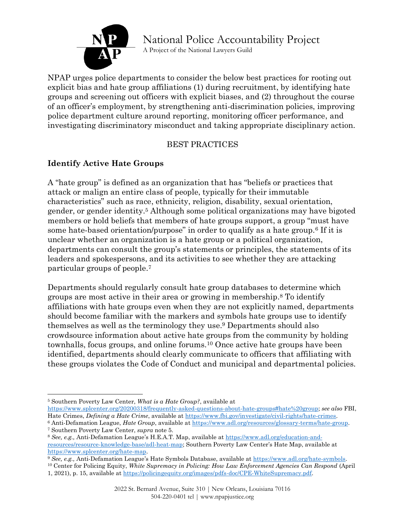

A Project of the National Lawyers Guild

NPAP urges police departments to consider the below best practices for rooting out explicit bias and hate group affiliations (1) during recruitment, by identifying hate groups and screening out officers with explicit biases, and (2) throughout the course of an officer's employment, by strengthening anti-discrimination policies, improving police department culture around reporting, monitoring officer performance, and investigating discriminatory misconduct and taking appropriate disciplinary action.

#### BEST PRACTICES

### **Identify Active Hate Groups**

A "hate group" is defined as an organization that has "beliefs or practices that attack or malign an entire class of people, typically for their immutable characteristics" such as race, ethnicity, religion, disability, sexual orientation, gender, or gender identity.<sup>5</sup> Although some political organizations may have bigoted members or hold beliefs that members of hate groups support, a group "must have some hate-based orientation/purpose" in order to qualify as a hate group.<sup>6</sup> If it is unclear whether an organization is a hate group or a political organization, departments can consult the group's statements or principles, the statements of its leaders and spokespersons, and its activities to see whether they are attacking particular groups of people. 7

Departments should regularly consult hate group databases to determine which groups are most active in their area or growing in membership. <sup>8</sup> To identify affiliations with hate groups even when they are not explicitly named, departments should become familiar with the markers and symbols hate groups use to identify themselves as well as the terminology they use. <sup>9</sup> Departments should also crowdsource information about active hate groups from the community by holding townhalls, focus groups, and online forums. <sup>10</sup> Once active hate groups have been identified, departments should clearly communicate to officers that affiliating with these groups violates the Code of Conduct and municipal and departmental policies.

[https://www.splcenter.org/20200318/frequently-asked-questions-about-hate-groups#hate%20group;](https://www.splcenter.org/20200318/frequently-asked-questions-about-hate-groups#hate%20group) *see also* FBI, Hate Crimes, *Defining a Hate Crime*, available at [https://www.fbi.gov/investigate/civil-rights/hate-crimes.](https://www.fbi.gov/investigate/civil-rights/hate-crimes)

<sup>10</sup> Center for Policing Equity, *White Supremacy in Policing: How Law Enforcement Agencies Can Respond* (April

<sup>5</sup> Southern Poverty Law Center, *What is a Hate Group?*, available at

<sup>6</sup> Anti-Defamation League, *Hate Group*, available a[t https://www.adl.org/resources/glossary-terms/hate-group.](https://www.adl.org/resources/glossary-terms/hate-group) <sup>7</sup> Southern Poverty Law Center, *supra* note 5.

<sup>8</sup> *See, e.g.,* Anti-Defamation League's H.E.A.T. Map, available at [https://www.adl.org/education-and](https://www.adl.org/education-and-resources/resource-knowledge-base/adl-heat-map)[resources/resource-knowledge-base/adl-heat-map;](https://www.adl.org/education-and-resources/resource-knowledge-base/adl-heat-map) Southern Poverty Law Center's Hate Map, available at [https://www.splcenter.org/hate-map.](https://www.splcenter.org/hate-map)

<sup>&</sup>lt;sup>9</sup> See, e.g., Anti-Defamation League's Hate Symbols Database, available at https://www.adl.org/hate-symbols.

<sup>1, 2021),</sup> p. 15, available at [https://policingequity.org/images/pdfs-doc/CPE-WhiteSupremacy.pdf.](https://policingequity.org/images/pdfs-doc/CPE-WhiteSupremacy.pdf)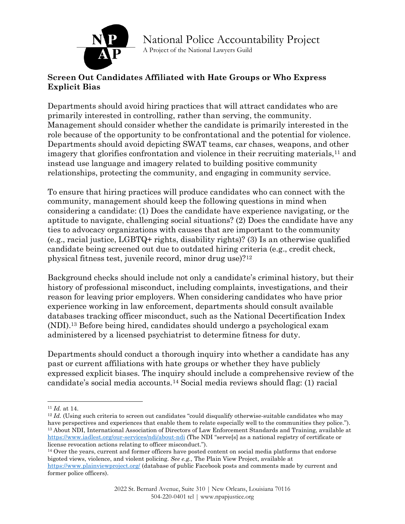

#### A Project of the National Lawyers Guild

#### **Screen Out Candidates Affiliated with Hate Groups or Who Express Explicit Bias**

Departments should avoid hiring practices that will attract candidates who are primarily interested in controlling, rather than serving, the community. Management should consider whether the candidate is primarily interested in the role because of the opportunity to be confrontational and the potential for violence. Departments should avoid depicting SWAT teams, car chases, weapons, and other imagery that glorifies confrontation and violence in their recruiting materials,<sup>11</sup> and instead use language and imagery related to building positive community relationships, protecting the community, and engaging in community service.

To ensure that hiring practices will produce candidates who can connect with the community, management should keep the following questions in mind when considering a candidate: (1) Does the candidate have experience navigating, or the aptitude to navigate, challenging social situations? (2) Does the candidate have any ties to advocacy organizations with causes that are important to the community (e.g., racial justice, LGBTQ+ rights, disability rights)? (3) Is an otherwise qualified candidate being screened out due to outdated hiring criteria (e.g., credit check, physical fitness test, juvenile record, minor drug use)?<sup>12</sup>

Background checks should include not only a candidate's criminal history, but their history of professional misconduct, including complaints, investigations, and their reason for leaving prior employers. When considering candidates who have prior experience working in law enforcement, departments should consult available databases tracking officer misconduct, such as the National Decertification Index (NDI).<sup>13</sup> Before being hired, candidates should undergo a psychological exam administered by a licensed psychiatrist to determine fitness for duty.

Departments should conduct a thorough inquiry into whether a candidate has any past or current affiliations with hate groups or whether they have publicly expressed explicit biases. The inquiry should include a comprehensive review of the candidate's social media accounts.<sup>14</sup> Social media reviews should flag: (1) racial

<sup>14</sup> Over the years, current and former officers have posted content on social media platforms that endorse bigoted views, violence, and violent policing. *See e.g.,* The Plain View Project, available at <https://www.plainviewproject.org/> (database of public Facebook posts and comments made by current and former police officers).

<sup>11</sup> *Id.* at 14.

<sup>&</sup>lt;sup>12</sup> *Id.* (Using such criteria to screen out candidates "could disqualify otherwise-suitable candidates who may have perspectives and experiences that enable them to relate especially well to the communities they police."). <sup>13</sup> About NDI, International Association of Directors of Law Enforcement Standards and Training, available at <https://www.iadlest.org/our-services/ndi/about-ndi> (The NDI "serve[s] as a national registry of certificate or license revocation actions relating to officer misconduct.").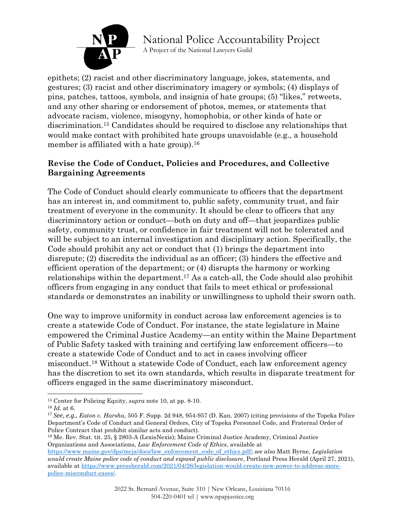

A Project of the National Lawyers Guild

epithets; (2) racist and other discriminatory language, jokes, statements, and gestures; (3) racist and other discriminatory imagery or symbols; (4) displays of pins, patches, tattoos, symbols, and insignia of hate groups; (5) "likes," retweets, and any other sharing or endorsement of photos, memes, or statements that advocate racism, violence, misogyny, homophobia, or other kinds of hate or discrimination. <sup>15</sup> Candidates should be required to disclose any relationships that would make contact with prohibited hate groups unavoidable (e.g., a household member is affiliated with a hate group).<sup>16</sup>

#### **Revise the Code of Conduct, Policies and Procedures, and Collective Bargaining Agreements**

The Code of Conduct should clearly communicate to officers that the department has an interest in, and commitment to, public safety, community trust, and fair treatment of everyone in the community. It should be clear to officers that any discriminatory action or conduct—both on duty and off—that jeopardizes public safety, community trust, or confidence in fair treatment will not be tolerated and will be subject to an internal investigation and disciplinary action. Specifically, the Code should prohibit any act or conduct that (1) brings the department into disrepute; (2) discredits the individual as an officer; (3) hinders the effective and efficient operation of the department; or (4) disrupts the harmony or working relationships within the department. <sup>17</sup> As a catch-all, the Code should also prohibit officers from engaging in any conduct that fails to meet ethical or professional standards or demonstrates an inability or unwillingness to uphold their sworn oath.

One way to improve uniformity in conduct across law enforcement agencies is to create a statewide Code of Conduct. For instance, the state legislature in Maine empowered the Criminal Justice Academy—an entity within the Maine Department of Public Safety tasked with training and certifying law enforcement officers—to create a statewide Code of Conduct and to act in cases involving officer misconduct.<sup>18</sup> Without a statewide Code of Conduct, each law enforcement agency has the discretion to set its own standards, which results in disparate treatment for officers engaged in the same discriminatory misconduct.

<sup>15</sup> Center for Policing Equity, *supra* note 10, at pp. 8-10.

<sup>16</sup> *Id.* at 6.

<sup>17</sup> *See, e.g., Eaton v. Harsha*, 505 F. Supp. 2d 948, 954-957 (D. Kan. 2007) (citing provisions of the Topeka Police Department's Code of Conduct and General Orders, City of Topeka Personnel Code, and Fraternal Order of Police Contract that prohibit similar acts and conduct).

<sup>18</sup> Me. Rev. Stat. tit. 25, § 2803-A (LexisNexis); Maine Criminal Justice Academy, Criminal Justice Organizations and Associations, *Law Enforcement Code of Ethics*, available at

[https://www.maine.gov/dps/mcja/docs/law\\_enforcement\\_code\\_of\\_ethics.pdf;](https://www.maine.gov/dps/mcja/docs/law_enforcement_code_of_ethics.pdf) *see also* Matt Byrne, *Legislation would create Maine police code of conduct and expand public disclosure*, Portland Press Herald (April 27, 2021), available at [https://www.pressherald.com/2021/04/26/legislation-would-create-new-power-to-address-more](https://www.pressherald.com/2021/04/26/legislation-would-create-new-power-to-address-more-police-misconduct-cases/)[police-misconduct-cases/.](https://www.pressherald.com/2021/04/26/legislation-would-create-new-power-to-address-more-police-misconduct-cases/)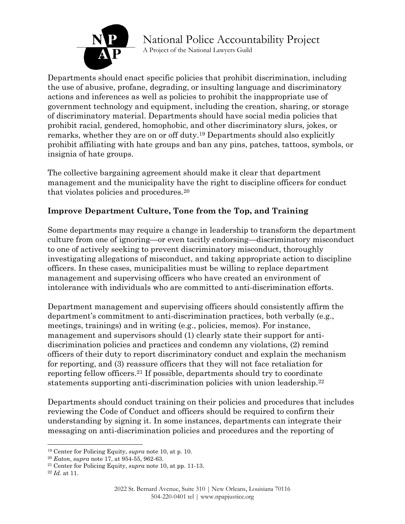

A Project of the National Lawyers Guild

Departments should enact specific policies that prohibit discrimination, including the use of abusive, profane, degrading, or insulting language and discriminatory actions and inferences as well as policies to prohibit the inappropriate use of government technology and equipment, including the creation, sharing, or storage of discriminatory material. Departments should have social media policies that prohibit racial, gendered, homophobic, and other discriminatory slurs, jokes, or remarks, whether they are on or off duty. <sup>19</sup> Departments should also explicitly prohibit affiliating with hate groups and ban any pins, patches, tattoos, symbols, or insignia of hate groups.

The collective bargaining agreement should make it clear that department management and the municipality have the right to discipline officers for conduct that violates policies and procedures.<sup>20</sup>

#### **Improve Department Culture, Tone from the Top, and Training**

Some departments may require a change in leadership to transform the department culture from one of ignoring—or even tacitly endorsing—discriminatory misconduct to one of actively seeking to prevent discriminatory misconduct, thoroughly investigating allegations of misconduct, and taking appropriate action to discipline officers. In these cases, municipalities must be willing to replace department management and supervising officers who have created an environment of intolerance with individuals who are committed to anti-discrimination efforts.

Department management and supervising officers should consistently affirm the department's commitment to anti-discrimination practices, both verbally (e.g., meetings, trainings) and in writing (e.g., policies, memos). For instance, management and supervisors should (1) clearly state their support for antidiscrimination policies and practices and condemn any violations, (2) remind officers of their duty to report discriminatory conduct and explain the mechanism for reporting, and (3) reassure officers that they will not face retaliation for reporting fellow officers.<sup>21</sup> If possible, departments should try to coordinate statements supporting anti-discrimination policies with union leadership.<sup>22</sup>

Departments should conduct training on their policies and procedures that includes reviewing the Code of Conduct and officers should be required to confirm their understanding by signing it. In some instances, departments can integrate their messaging on anti-discrimination policies and procedures and the reporting of

<sup>19</sup> Center for Policing Equity, *supra* note 10, at p. 10.

<sup>20</sup> *Eaton, supra* note 17, at 954-55, 962-63.

<sup>21</sup> Center for Policing Equity, *supra* note 10, at pp. 11-13.

<sup>22</sup> *Id.* at 11.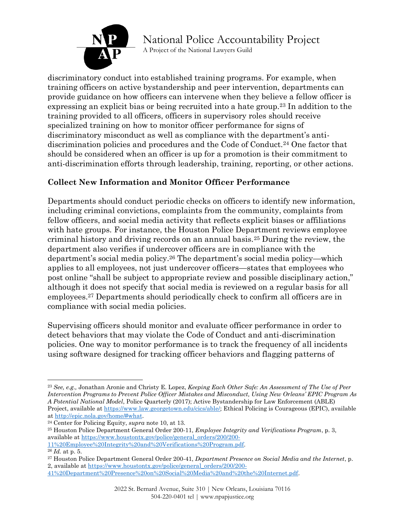

A Project of the National Lawyers Guild

discriminatory conduct into established training programs. For example, when training officers on active bystandership and peer intervention, departments can provide guidance on how officers can intervene when they believe a fellow officer is expressing an explicit bias or being recruited into a hate group.<sup>23</sup> In addition to the training provided to all officers, officers in supervisory roles should receive specialized training on how to monitor officer performance for signs of discriminatory misconduct as well as compliance with the department's antidiscrimination policies and procedures and the Code of Conduct.<sup>24</sup> One factor that should be considered when an officer is up for a promotion is their commitment to anti-discrimination efforts through leadership, training, reporting, or other actions.

#### **Collect New Information and Monitor Officer Performance**

Departments should conduct periodic checks on officers to identify new information, including criminal convictions, complaints from the community, complaints from fellow officers, and social media activity that reflects explicit biases or affiliations with hate groups. For instance, the Houston Police Department reviews employee criminal history and driving records on an annual basis.<sup>25</sup> During the review, the department also verifies if undercover officers are in compliance with the department's social media policy.<sup>26</sup> The department's social media policy—which applies to all employees, not just undercover officers—states that employees who post online "shall be subject to appropriate review and possible disciplinary action," although it does not specify that social media is reviewed on a regular basis for all employees.<sup>27</sup> Departments should periodically check to confirm all officers are in compliance with social media policies.

Supervising officers should monitor and evaluate officer performance in order to detect behaviors that may violate the Code of Conduct and anti-discrimination policies. One way to monitor performance is to track the frequency of all incidents using software designed for tracking officer behaviors and flagging patterns of

<sup>23</sup> *See, e.g.,* Jonathan Aronie and Christy E. Lopez, *Keeping Each Other Safe: An Assessment of The Use of Peer Intervention Programs to Prevent Police Officer Mistakes and Misconduct, Using New Orleans' EPIC Program As A Potential National Model*, Police Quarterly (2017); Active Bystandership for Law Enforcement (ABLE) Project, available at [https://www.law.georgetown.edu/cics/able/;](https://www.law.georgetown.edu/cics/able/) Ethical Policing is Courageous (EPIC), available at [http://epic.nola.gov/home/#what.](http://epic.nola.gov/home/#what)

<sup>24</sup> Center for Policing Equity, *supra* note 10, at 13.

<sup>25</sup> Houston Police Department General Order 200-11, *Employee Integrity and Verifications Program*, p. 3, available at [https://www.houstontx.gov/police/general\\_orders/200/200-](https://www.houstontx.gov/police/general_orders/200/200-11%20Employee%20Integrity%20and%20Verifications%20Program.pdf) [11%20Employee%20Integrity%20and%20Verifications%20Program.pdf.](https://www.houstontx.gov/police/general_orders/200/200-11%20Employee%20Integrity%20and%20Verifications%20Program.pdf)

<sup>26</sup> *Id.* at p. 5.

<sup>27</sup> Houston Police Department General Order 200-41, *Department Presence on Social Media and the Internet*, p. 2, available at [https://www.houstontx.gov/police/general\\_orders/200/200-](https://www.houstontx.gov/police/general_orders/200/200-41%20Department%20Presence%20on%20Social%20Media%20and%20the%20Internet.pdf)

[<sup>41%20</sup>Department%20Presence%20on%20Social%20Media%20and%20the%20Internet.pdf.](https://www.houstontx.gov/police/general_orders/200/200-41%20Department%20Presence%20on%20Social%20Media%20and%20the%20Internet.pdf)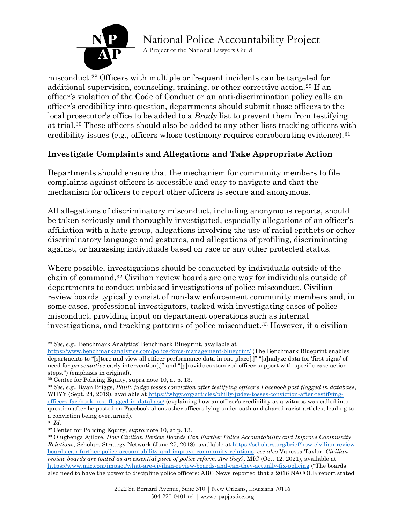

A Project of the National Lawyers Guild

misconduct. <sup>28</sup> Officers with multiple or frequent incidents can be targeted for additional supervision, counseling, training, or other corrective action.<sup>29</sup> If an officer's violation of the Code of Conduct or an anti-discrimination policy calls an officer's credibility into question, departments should submit those officers to the local prosecutor's office to be added to a *Brady* list to prevent them from testifying at trial. <sup>30</sup> These officers should also be added to any other lists tracking officers with credibility issues (e.g., officers whose testimony requires corroborating evidence).<sup>31</sup>

#### **Investigate Complaints and Allegations and Take Appropriate Action**

Departments should ensure that the mechanism for community members to file complaints against officers is accessible and easy to navigate and that the mechanism for officers to report other officers is secure and anonymous.

All allegations of discriminatory misconduct, including anonymous reports, should be taken seriously and thoroughly investigated, especially allegations of an officer's affiliation with a hate group, allegations involving the use of racial epithets or other discriminatory language and gestures, and allegations of profiling, discriminating against, or harassing individuals based on race or any other protected status.

Where possible, investigations should be conducted by individuals outside of the chain of command.<sup>32</sup> Civilian review boards are one way for individuals outside of departments to conduct unbiased investigations of police misconduct. Civilian review boards typically consist of non-law enforcement community members and, in some cases, professional investigators, tasked with investigating cases of police misconduct, providing input on department operations such as internal investigations, and tracking patterns of police misconduct.<sup>33</sup> However, if a civilian

<sup>28</sup> *See, e.g.*, Benchmark Analytics' Benchmark Blueprint, available at

<https://www.benchmarkanalytics.com/police-force-management-blueprint/> (The Benchmark Blueprint enables departments to "[s]tore and view all officer performance data in one place[,]" "[a]nalyze data for 'first signs' of need for *preventative* early intervention[,]" and "[p]rovide customized officer support with specific-case action steps.") (emphasis in original).

<sup>29</sup> Center for Policing Equity, supra note 10, at p. 13.

<sup>30</sup> *See, e.g.*, Ryan Briggs, *Philly judge tosses conviction after testifying officer's Facebook post flagged in database*, WHYY (Sept. 24, 2019), available a[t https://whyy.org/articles/philly-judge-tosses-conviction-after-testifying](https://whyy.org/articles/philly-judge-tosses-conviction-after-testifying-officers-facebook-post-flagged-in-database/)[officers-facebook-post-flagged-in-database/](https://whyy.org/articles/philly-judge-tosses-conviction-after-testifying-officers-facebook-post-flagged-in-database/) (explaining how an officer's credibility as a witness was called into question after he posted on Facebook about other officers lying under oath and shared racist articles, leading to a conviction being overturned).

<sup>31</sup> *Id.*

<sup>32</sup> Center for Policing Equity, *supra* note 10, at p. 13.

<sup>33</sup> Olugbenga Ajilore, *How Civilian Review Boards Can Further Police Accountability and Improve Community Relations*, Scholars Strategy Network (June 25, 2018), available a[t https://scholars.org/brief/how-civilian-review](https://scholars.org/brief/how-civilian-review-boards-can-further-police-accountability-and-improve-community-relations)[boards-can-further-police-accountability-and-improve-community-relations;](https://scholars.org/brief/how-civilian-review-boards-can-further-police-accountability-and-improve-community-relations) *see also* Vanessa Taylor, *Civilian review boards are touted as an essential piece of police reform. Are they?*, MIC (Oct. 12, 2021), available at <https://www.mic.com/impact/what-are-civilian-review-boards-and-can-they-actually-fix-policing> ("The boards also need to have the power to discipline police officers: ABC News reported that a 2016 NACOLE report stated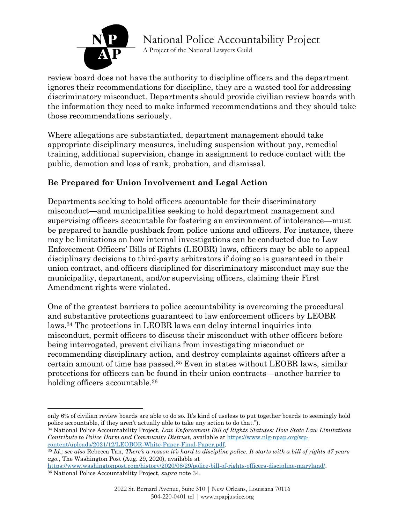

A Project of the National Lawyers Guild

review board does not have the authority to discipline officers and the department ignores their recommendations for discipline, they are a wasted tool for addressing discriminatory misconduct. Departments should provide civilian review boards with the information they need to make informed recommendations and they should take those recommendations seriously.

Where allegations are substantiated, department management should take appropriate disciplinary measures, including suspension without pay, remedial training, additional supervision, change in assignment to reduce contact with the public, demotion and loss of rank, probation, and dismissal.

#### **Be Prepared for Union Involvement and Legal Action**

Departments seeking to hold officers accountable for their discriminatory misconduct—and municipalities seeking to hold department management and supervising officers accountable for fostering an environment of intolerance—must be prepared to handle pushback from police unions and officers. For instance, there may be limitations on how internal investigations can be conducted due to Law Enforcement Officers' Bills of Rights (LEOBR) laws, officers may be able to appeal disciplinary decisions to third-party arbitrators if doing so is guaranteed in their union contract, and officers disciplined for discriminatory misconduct may sue the municipality, department, and/or supervising officers, claiming their First Amendment rights were violated.

One of the greatest barriers to police accountability is overcoming the procedural and substantive protections guaranteed to law enforcement officers by LEOBR laws.<sup>34</sup> The protections in LEOBR laws can delay internal inquiries into misconduct, permit officers to discuss their misconduct with other officers before being interrogated, prevent civilians from investigating misconduct or recommending disciplinary action, and destroy complaints against officers after a certain amount of time has passed.<sup>35</sup> Even in states without LEOBR laws, similar protections for officers can be found in their union contracts—another barrier to holding officers accountable.<sup>36</sup>

only 6% of civilian review boards are able to do so. It's kind of useless to put together boards to seemingly hold police accountable, if they aren't actually able to take any action to do that.").

<sup>34</sup> National Police Accountability Project, *Law Enforcement Bill of Rights Statutes: How State Law Limitations Contribute to Police Harm and Community Distrust*, available at [https://www.nlg-npap.org/wp](https://www.nlg-npap.org/wp-content/uploads/2021/12/LEOBOR-White-Paper-Final-Paper.pdf)[content/uploads/2021/12/LEOBOR-White-Paper-Final-Paper.pdf.](https://www.nlg-npap.org/wp-content/uploads/2021/12/LEOBOR-White-Paper-Final-Paper.pdf)

<sup>35</sup> *Id.; see also* Rebecca Tan, *There's a reason it's hard to discipline police. It starts with a bill of rights 47 years ago.,* The Washington Post (Aug. 29, 2020), available at

[https://www.washingtonpost.com/history/2020/08/29/police-bill-of-rights-officers-discipline-maryland/.](https://www.washingtonpost.com/history/2020/08/29/police-bill-of-rights-officers-discipline-maryland/) <sup>36</sup> National Police Accountability Project, *supra* note 34.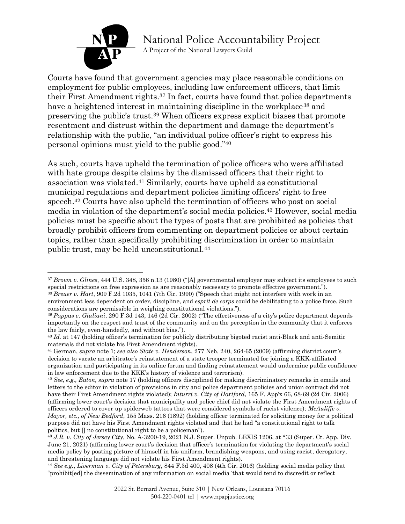

A Project of the National Lawyers Guild

Courts have found that government agencies may place reasonable conditions on employment for public employees, including law enforcement officers, that limit their First Amendment rights. <sup>37</sup> In fact, courts have found that police departments have a heightened interest in maintaining discipline in the workplace<sup>38</sup> and preserving the public's trust. <sup>39</sup> When officers express explicit biases that promote resentment and distrust within the department and damage the department's relationship with the public, "an individual police officer's right to express his personal opinions must yield to the public good."<sup>40</sup>

As such, courts have upheld the termination of police officers who were affiliated with hate groups despite claims by the dismissed officers that their right to association was violated.<sup>41</sup> Similarly, courts have upheld as constitutional municipal regulations and department policies limiting officers' right to free speech. <sup>42</sup> Courts have also upheld the termination of officers who post on social media in violation of the department's social media policies. <sup>43</sup> However, social media policies must be specific about the types of posts that are prohibited as policies that broadly prohibit officers from commenting on department policies or about certain topics, rather than specifically prohibiting discrimination in order to maintain public trust, may be held unconstitutional.<sup>44</sup>

<sup>37</sup> *Brown v. Glines*, 444 U.S. 348, 356 n.13 (1980) ("[A] governmental employer may subject its employees to such special restrictions on free expression as are reasonably necessary to promote effective government."). <sup>38</sup> *Breuer v. Hart*, 909 F.2d 1035, 1041 (7th Cir. 1990) ("Speech that might not interfere with work in an

environment less dependent on order, discipline, and *esprit de corps* could be debilitating to a police force. Such considerations are permissible in weighing constitutional violations.").

<sup>39</sup> *Pappas v. Giuliani*, 290 F.3d 143, 146 (2d Cir. 2002) ("The effectiveness of a city's police department depends importantly on the respect and trust of the community and on the perception in the community that it enforces the law fairly, even-handedly, and without bias.").

<sup>40</sup> *Id.* at 147 (holding officer's termination for publicly distributing bigoted racist anti-Black and anti-Semitic materials did not violate his First Amendment rights).

<sup>41</sup> German, *supra* note 1; *see also State v. Henderson*, 277 Neb. 240, 264-65 (2009) (affirming district court's decision to vacate an arbitrator's reinstatement of a state trooper terminated for joining a KKK-affiliated organization and participating in its online forum and finding reinstatement would undermine public confidence in law enforcement due to the KKK's history of violence and terrorism).

<sup>42</sup> *See, e.g., Eaton, supra* note 17 (holding officers disciplined for making discriminatory remarks in emails and letters to the editor in violation of provisions in city and police department policies and union contract did not have their First Amendment rights violated); *Inturri v. City of Hartford*, 165 F. App'x 66, 68-69 (2d Cir. 2006) (affirming lower court's decision that municipality and police chief did not violate the First Amendment rights of officers ordered to cover up spiderweb tattoos that were considered symbols of racist violence); *McAuliffe v. Mayor, etc., of New Bedford*, 155 Mass. 216 (1892) (holding officer terminated for soliciting money for a political purpose did not have his First Amendment rights violated and that he had "a constitutional right to talk politics, but [] no constitutional right to be a policeman").

<sup>43</sup> *J.R. v. City of Jersey City*, No. A-3200-19, 2021 N.J. Super. Unpub. LEXIS 1206, at \*33 (Super. Ct. App. Div. June 21, 2021) (affirming lower court's decision that officer's termination for violating the department's social media policy by posting picture of himself in his uniform, brandishing weapons, and using racist, derogatory, and threatening language did not violate his First Amendment rights).

<sup>44</sup> *See e.g.*, *Liverman v. City of Petersburg*, 844 F.3d 400, 408 (4th Cir. 2016) (holding social media policy that "prohibit[ed] the dissemination of any information on social media 'that would tend to discredit or reflect